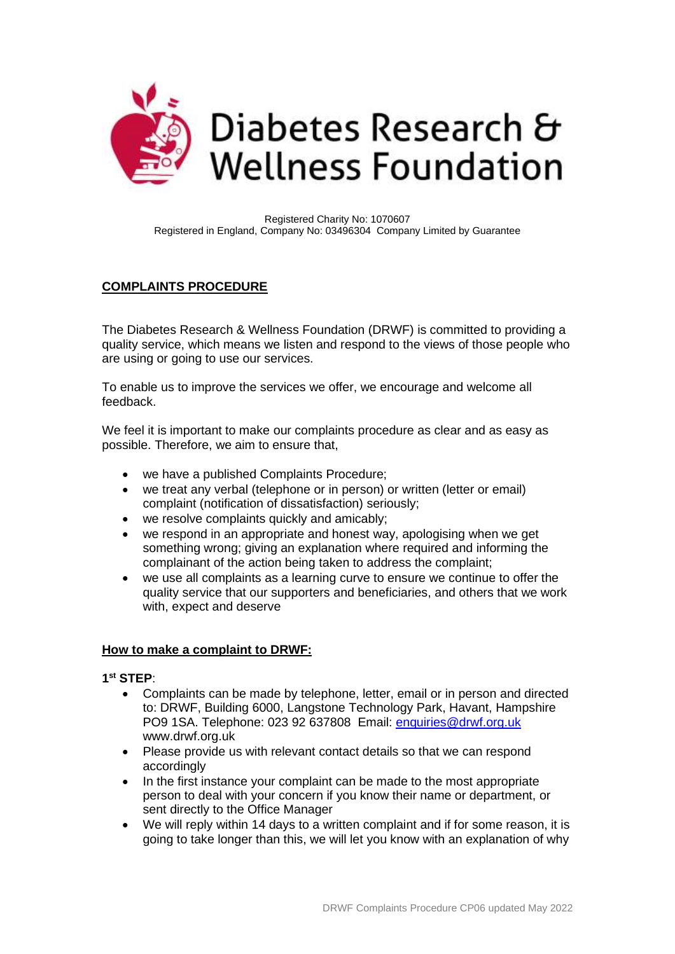

Registered Charity No: 1070607 Registered in England, Company No: 03496304 Company Limited by Guarantee

# **COMPLAINTS PROCEDURE**

The Diabetes Research & Wellness Foundation (DRWF) is committed to providing a quality service, which means we listen and respond to the views of those people who are using or going to use our services.

To enable us to improve the services we offer, we encourage and welcome all feedback.

We feel it is important to make our complaints procedure as clear and as easy as possible. Therefore, we aim to ensure that,

- we have a published Complaints Procedure;
- we treat any verbal (telephone or in person) or written (letter or email) complaint (notification of dissatisfaction) seriously;
- we resolve complaints quickly and amicably;
- we respond in an appropriate and honest way, apologising when we get something wrong; giving an explanation where required and informing the complainant of the action being taken to address the complaint;
- we use all complaints as a learning curve to ensure we continue to offer the quality service that our supporters and beneficiaries, and others that we work with, expect and deserve

#### **How to make a complaint to DRWF:**

### **1 st STEP**:

- Complaints can be made by telephone, letter, email or in person and directed to: DRWF, Building 6000, Langstone Technology Park, Havant, Hampshire PO9 1SA. Telephone: 023 92 637808 Email: [enquiries@drwf.org.uk](mailto:enquiries@drwf.org.uk)  www.drwf.org.uk
- Please provide us with relevant contact details so that we can respond accordingly
- In the first instance your complaint can be made to the most appropriate person to deal with your concern if you know their name or department, or sent directly to the Office Manager
- We will reply within 14 days to a written complaint and if for some reason, it is going to take longer than this, we will let you know with an explanation of why